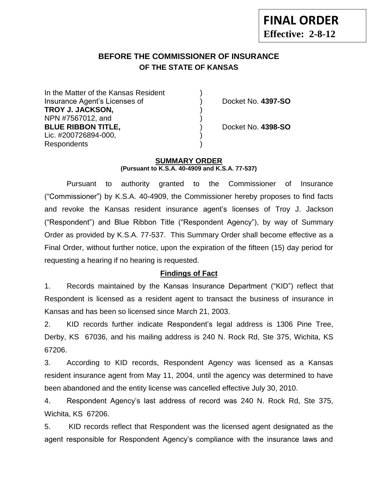# **BEFORE THE COMMISSIONER OF INSURANCE OF THE STATE OF KANSAS**

In the Matter of the Kansas Resident Insurance Agent's Licenses of ) Docket No. **4397-SO TROY J. JACKSON,** ) NPN #7567012, and ) **BLUE RIBBON TITLE,** ) Docket No. **4398-SO** Lic. #200726894-000, Respondents )

#### **SUMMARY ORDER**

**(Pursuant to K.S.A. 40-4909 and K.S.A. 77-537)**

Pursuant to authority granted to the Commissioner of Insurance ("Commissioner") by K.S.A. 40-4909, the Commissioner hereby proposes to find facts and revoke the Kansas resident insurance agent's licenses of Troy J. Jackson ("Respondent") and Blue Ribbon Title ("Respondent Agency"), by way of Summary Order as provided by K.S.A. 77-537. This Summary Order shall become effective as a Final Order, without further notice, upon the expiration of the fifteen (15) day period for requesting a hearing if no hearing is requested.

## **Findings of Fact**

1. Records maintained by the Kansas Insurance Department ("KID") reflect that Respondent is licensed as a resident agent to transact the business of insurance in Kansas and has been so licensed since March 21, 2003.

2. KID records further indicate Respondent's legal address is 1306 Pine Tree, Derby, KS 67036, and his mailing address is 240 N. Rock Rd, Ste 375, Wichita, KS 67206.

3. According to KID records, Respondent Agency was licensed as a Kansas resident insurance agent from May 11, 2004, until the agency was determined to have been abandoned and the entity license was cancelled effective July 30, 2010.

4. Respondent Agency's last address of record was 240 N. Rock Rd, Ste 375, Wichita, KS 67206.

5. KID records reflect that Respondent was the licensed agent designated as the agent responsible for Respondent Agency's compliance with the insurance laws and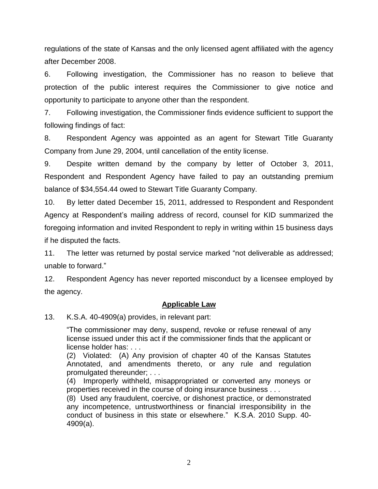regulations of the state of Kansas and the only licensed agent affiliated with the agency after December 2008.

6. Following investigation, the Commissioner has no reason to believe that protection of the public interest requires the Commissioner to give notice and opportunity to participate to anyone other than the respondent.

7. Following investigation, the Commissioner finds evidence sufficient to support the following findings of fact:

8. Respondent Agency was appointed as an agent for Stewart Title Guaranty Company from June 29, 2004, until cancellation of the entity license.

9. Despite written demand by the company by letter of October 3, 2011, Respondent and Respondent Agency have failed to pay an outstanding premium balance of \$34,554.44 owed to Stewart Title Guaranty Company.

10. By letter dated December 15, 2011, addressed to Respondent and Respondent Agency at Respondent's mailing address of record, counsel for KID summarized the foregoing information and invited Respondent to reply in writing within 15 business days if he disputed the facts.

11. The letter was returned by postal service marked "not deliverable as addressed; unable to forward."

12. Respondent Agency has never reported misconduct by a licensee employed by the agency.

### **Applicable Law**

13. K.S.A. 40-4909(a) provides, in relevant part:

"The commissioner may deny, suspend, revoke or refuse renewal of any license issued under this act if the commissioner finds that the applicant or license holder has: . . .

(2) Violated: (A) Any provision of chapter 40 of the Kansas Statutes Annotated, and amendments thereto, or any rule and regulation promulgated thereunder; . . .

(4) Improperly withheld, misappropriated or converted any moneys or properties received in the course of doing insurance business . . .

(8) Used any fraudulent, coercive, or dishonest practice, or demonstrated any incompetence, untrustworthiness or financial irresponsibility in the conduct of business in this state or elsewhere." K.S.A. 2010 Supp. 40- 4909(a).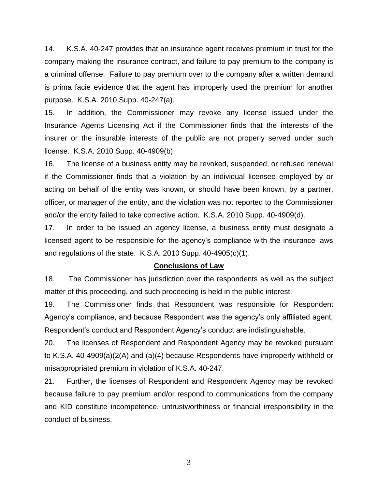14. K.S.A. 40-247 provides that an insurance agent receives premium in trust for the company making the insurance contract, and failure to pay premium to the company is a criminal offense. Failure to pay premium over to the company after a written demand is prima facie evidence that the agent has improperly used the premium for another purpose. K.S.A. 2010 Supp. 40-247(a).

15. In addition, the Commissioner may revoke any license issued under the Insurance Agents Licensing Act if the Commissioner finds that the interests of the insurer or the insurable interests of the public are not properly served under such license. K.S.A. 2010 Supp. 40-4909(b).

16. The license of a business entity may be revoked, suspended, or refused renewal if the Commissioner finds that a violation by an individual licensee employed by or acting on behalf of the entity was known, or should have been known, by a partner, officer, or manager of the entity, and the violation was not reported to the Commissioner and/or the entity failed to take corrective action. K.S.A. 2010 Supp. 40-4909(d).

17. In order to be issued an agency license, a business entity must designate a licensed agent to be responsible for the agency's compliance with the insurance laws and regulations of the state. K.S.A. 2010 Supp. 40-4905(c)(1).

#### **Conclusions of Law**

18. The Commissioner has jurisdiction over the respondents as well as the subject matter of this proceeding, and such proceeding is held in the public interest.

19. The Commissioner finds that Respondent was responsible for Respondent Agency's compliance, and because Respondent was the agency's only affiliated agent, Respondent's conduct and Respondent Agency's conduct are indistinguishable.

20. The licenses of Respondent and Respondent Agency may be revoked pursuant to K.S.A. 40-4909(a)(2(A) and (a)(4) because Respondents have improperly withheld or misappropriated premium in violation of K.S.A. 40-247.

21. Further, the licenses of Respondent and Respondent Agency may be revoked because failure to pay premium and/or respond to communications from the company and KID constitute incompetence, untrustworthiness or financial irresponsibility in the conduct of business.

3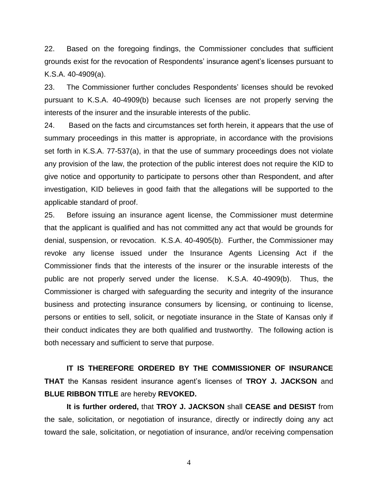22. Based on the foregoing findings, the Commissioner concludes that sufficient grounds exist for the revocation of Respondents' insurance agent's licenses pursuant to K.S.A. 40-4909(a).

23. The Commissioner further concludes Respondents' licenses should be revoked pursuant to K.S.A. 40-4909(b) because such licenses are not properly serving the interests of the insurer and the insurable interests of the public.

24. Based on the facts and circumstances set forth herein, it appears that the use of summary proceedings in this matter is appropriate, in accordance with the provisions set forth in K.S.A. 77-537(a), in that the use of summary proceedings does not violate any provision of the law, the protection of the public interest does not require the KID to give notice and opportunity to participate to persons other than Respondent, and after investigation, KID believes in good faith that the allegations will be supported to the applicable standard of proof.

25. Before issuing an insurance agent license, the Commissioner must determine that the applicant is qualified and has not committed any act that would be grounds for denial, suspension, or revocation. K.S.A. 40-4905(b). Further, the Commissioner may revoke any license issued under the Insurance Agents Licensing Act if the Commissioner finds that the interests of the insurer or the insurable interests of the public are not properly served under the license. K.S.A. 40-4909(b). Thus, the Commissioner is charged with safeguarding the security and integrity of the insurance business and protecting insurance consumers by licensing, or continuing to license, persons or entities to sell, solicit, or negotiate insurance in the State of Kansas only if their conduct indicates they are both qualified and trustworthy. The following action is both necessary and sufficient to serve that purpose.

**IT IS THEREFORE ORDERED BY THE COMMISSIONER OF INSURANCE THAT** the Kansas resident insurance agent's licenses of **TROY J. JACKSON** and **BLUE RIBBON TITLE** are hereby **REVOKED.** 

**It is further ordered,** that **TROY J. JACKSON** shall **CEASE and DESIST** from the sale, solicitation, or negotiation of insurance, directly or indirectly doing any act toward the sale, solicitation, or negotiation of insurance, and/or receiving compensation

4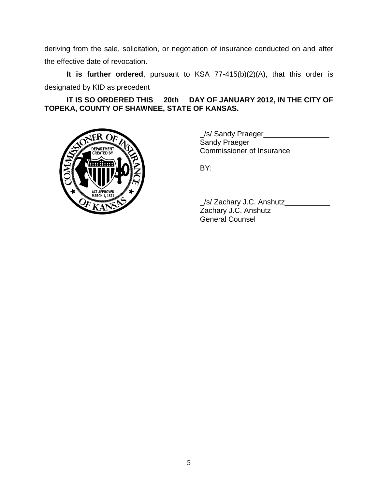deriving from the sale, solicitation, or negotiation of insurance conducted on and after the effective date of revocation.

**It is further ordered**, pursuant to KSA 77-415(b)(2)(A), that this order is designated by KID as precedent

**IT IS SO ORDERED THIS \_\_20th\_\_ DAY OF JANUARY 2012, IN THE CITY OF TOPEKA, COUNTY OF SHAWNEE, STATE OF KANSAS.**



\_/s/ Sandy Praeger\_\_\_\_\_\_\_\_\_\_\_\_\_\_\_\_ Sandy Praeger Commissioner of Insurance

BY:

\_/s/ Zachary J.C. Anshutz\_\_\_\_\_\_\_\_\_\_\_ Zachary J.C. Anshutz General Counsel